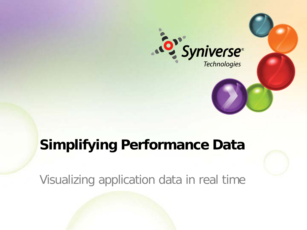

# **Simplifying Performance Data**

Visualizing application data in real time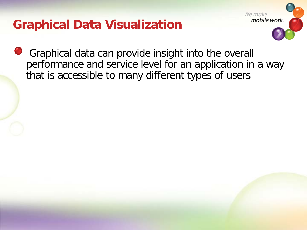# **Graphical Data Visualization**



Graphical data can provide insight into the overall performance and service level for an application in a way that is accessible to many different types of users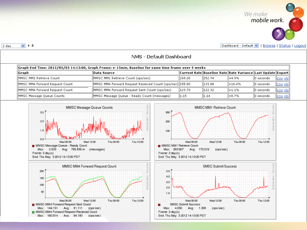

Dashboard - Default v | | Browse | Status | Logout

| Graph End Time: 2012/05/03 14:13:00, Graph Frame: e-15min, Baseline for same time frame over 5 weeks |                                                           |         |         |                                                                 |              |                    |
|------------------------------------------------------------------------------------------------------|-----------------------------------------------------------|---------|---------|-----------------------------------------------------------------|--------------|--------------------|
| Graph                                                                                                | ∥Data Source                                              |         |         | Current Rate  Baseline Rate  Rate Variance  Last Update  Export |              |                    |
| MMSC MM1 Retrieve Count                                                                              | MMSC MM1 Retrieve Count (ops/sec)                         | 1265.00 | 1252.74 | 1+4.9%                                                          | ll0 seconds. | <u>  esv xis  </u> |
| MMSC MM4 Forward Request Count                                                                       | MMSC MM4 Forward Request Recieved Count (ops/sec)  155.80 |         | 133.88  | +16.4%                                                          | ll0 seconds  | <u>  esv xis  </u> |
| MMSC MM4 Forward Request Count                                                                       | MMSC MM4 Forward Request Sent Count (ops/sec)             | 1123.70 | 1122.32 | +1.1%                                                           | ll0 seconds. | <u>  esv xis  </u> |
| MMSC Message Queue Counts                                                                            | MMSC Message Queue - Ready Count (messages)               | 1.15    | 1.14    | l+0.7%                                                          | ll0 seconds. | <u>  esv xis  </u> |











 $\vee$   $\vdash$   $\mathbb{I}$ 2 day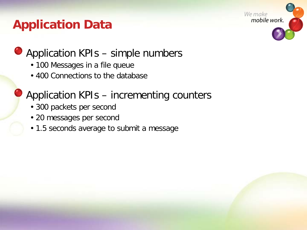# **Application Data**



### ● Application KPIs – simple numbers

- 100 Messages in a file queue
- 400 Connections to the database

### Application KPIs – incrementing counters

- 300 packets per second
- 20 messages per second
- 1.5 seconds average to submit a message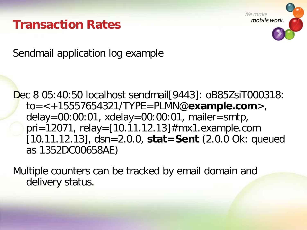### **Transaction Rates**



Sendmail application log example

Dec 8 05:40:50 localhost sendmail[9443]: oB85ZsiT000318: to=<+15557654321/TYPE=PLMN@**example.com**>, delay=00:00:01, xdelay=00:00:01, mailer=smtp, pri=12071, relay=[10.11.12.13]#mx1.example.com [10.11.12.13], dsn=2.0.0, **stat=Sent** (2.0.0 Ok: queued as 1352DC00658AE)

Multiple counters can be tracked by email domain and delivery status.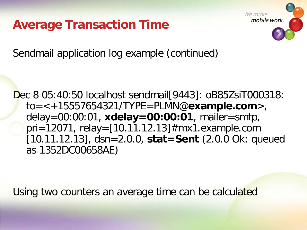**Average Transaction Time**



Sendmail application log example (continued)

Dec 8 05:40:50 localhost sendmail[9443]: oB85ZsiT000318: to=<+15557654321/TYPE=PLMN@**example.com**>, delay=00:00:01, **xdelay=00:00:01**, mailer=smtp, pri=12071, relay=[10.11.12.13]#mx1.example.com [10.11.12.13], dsn=2.0.0, **stat=Sent** (2.0.0 Ok: queued as 1352DC00658AE)

Using two counters an average time can be calculated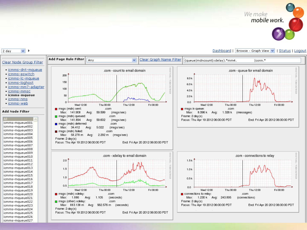

### $\overline{\mathbf{v}}$ 2 day

Dashboard | Browse - Graph View v | Status | Logout

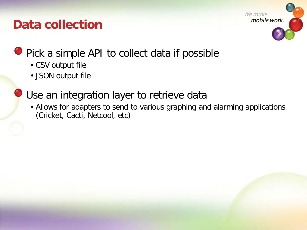# **Data collection**



**Pick a simple API to collect data if possible** 

- CSV output file
- JSON output file
- Use an integration layer to retrieve data
	- Allows for adapters to send to various graphing and alarming applications (Cricket, Cacti, Netcool, etc)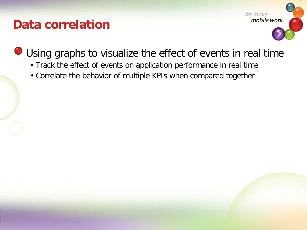### **Data correlation**



Using graphs to visualize the effect of events in real time

- Track the effect of events on application performance in real time
- Correlate the behavior of multiple KPIs when compared together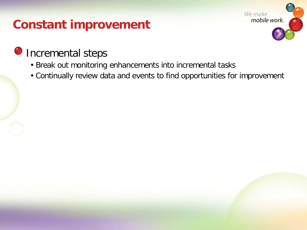# **Constant improvement**



### **O** Incremental steps

- Break out monitoring enhancements into incremental tasks
- Continually review data and events to find opportunities for improvement